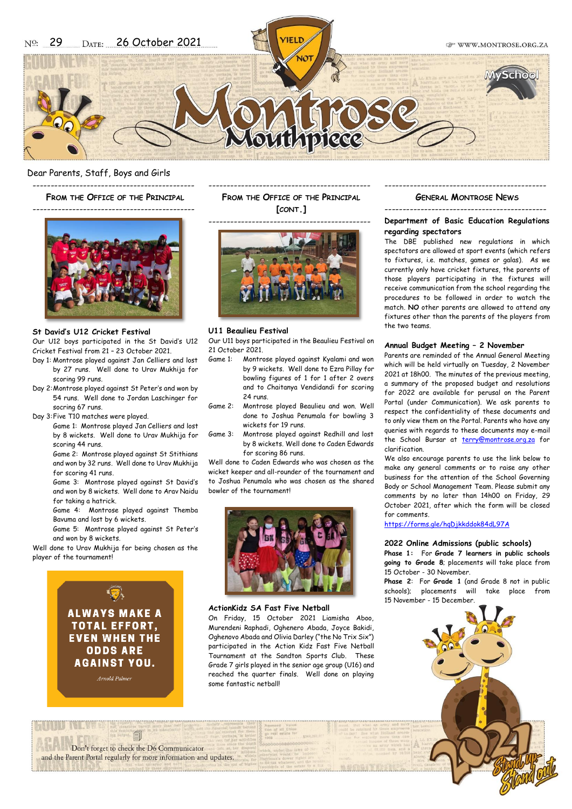

## Dear Parents, Staff, Boys and Girls

--------------------------------------------- **FROM THE OFFICE OF THE PRINCIPAL**

---------------------------------------------



## **St David's U12 Cricket Festival**

Our U12 boys participated in the St David's U12 Cricket Festival from 21 – 23 October 2021.

- Day 1: Montrose played against Jan Celliers and lost by 27 runs. Well done to Urav Mukhija for scoring 99 runs.
- Day 2:Montrose played against St Peter's and won by 54 runs. Well done to Jordan Laschinger for socring 67 runs.
- Day 3:Five T10 matches were played.
	- Game 1: Montrose played Jan Celliers and lost by 8 wickets. Well done to Urav Mukhija for scoring 44 runs.

Game 2: Montrose played against St Stithians and won by 32 runs. Well done to Urav Mukhija for scoring 41 runs.

Game 3: Montrose played against St David's and won by 8 wickets. Well done to Arav Naidu for taking a hatrick.

Game 4: Montrose played against Themba Bavuma and lost by 6 wickets.

Game 5: Montrose played against St Peter's and won by 8 wickets.

Well done to Urav Mukhija for being chosen as the player of the tournament!



--------------------------------------------- **FROM THE OFFICE OF THE PRINCIPAL [CONT.]**

---------------------------------------------



### **U11 Beaulieu Festival**

Our U11 boys participated in the Beaulieu Festival on 21 October 2021.

- Game 1: Montrose played against Kyalami and won by 9 wickets. Well done to Ezra Pillay for bowling figures of 1 for 1 after 2 overs and to Chaitanya Vendidandi for scoring 24 runs.
- Game 2: Montrose played Beaulieu and won. Well done to Joshua Penumala for bowling 3 wickets for 19 runs.
- Game 3: Montrose played against Redhill and lost by 8 wickets. Well done to Caden Edwards for scoring 86 runs.

Well done to Caden Edwards who was chosen as the wicket keeper and all-rounder of the tournament and to Joshua Penumala who was chosen as the shared bowler of the tournament!



# **ActionKidz SA Fast Five Netball**

On Friday, 15 October 2021 Liamisha Aboo, Murendeni Raphadi, Oghenero Abada, Joyce Bakidi, Oghenovo Abada and Olivia Darley ("the No Trix Six") participated in the Action Kidz Fast Five Netball Tournament at the Sandton Sports Club. These Grade 7 girls played in the senior age group (U16) and reached the quarter finals. Well done on playing some fantastic netball!

# --------------------------------------------- **GENERAL MONTROSE NEWS** ---------------------------------------------

# **Department of Basic Education Regulations regarding spectators**

The DBE published new regulations in which spectators are allowed at sport events (which refers to fixtures, i.e. matches, games or galas). As we currently only have cricket fixtures, the parents of those players participating in the fixtures will receive communication from the school regarding the procedures to be followed in order to watch the match. **NO** other parents are allowed to attend any fixtures other than the parents of the players from the two teams.

### **Annual Budget Meeting – 2 November**

Parents are reminded of the Annual General Meeting which will be held virtually on Tuesday, 2 November 2021 at 18h00. The minutes of the previous meeting, a summary of the proposed budget and resolutions for 2022 are available for perusal on the Parent Portal (under Communication). We ask parents to respect the confidentiality of these documents and to only view them on the Portal. Parents who have any queries with regards to these documents may e-mail the School Bursar at [terry@montrose.org.za](mailto:terry@montrose.org.za) for clarification.

We also encourage parents to use the link below to make any general comments or to raise any other business for the attention of the School Governing Body or School Management Team. Please submit any comments by no later than 14h00 on Friday, 29 October 2021, after which the form will be closed for comments.

<https://forms.gle/hqDjkkddok84dL97A>

## **2022 Online Admissions (public schools)**

**Phase 1:** For **Grade 7 learners in public schools going to Grade 8**; placements will take place from 15 October - 30 November.

**Phase 2**: For **Grade 1** (and Grade 8 not in public schools); placements will take place from 15 November - 15 December.

Don't forget to check the D6 Communicator and the Parent Portal regularly for more information and updates.